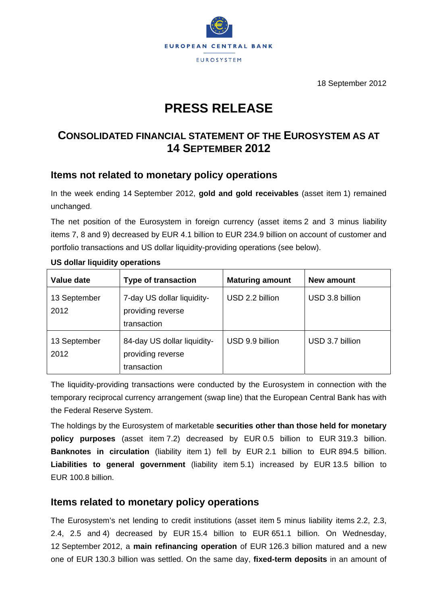

18 September 2012

# **PRESS RELEASE**

## **CONSOLIDATED FINANCIAL STATEMENT OF THE EUROSYSTEM AS AT 14 SEPTEMBER 2012**

## **Items not related to monetary policy operations**

In the week ending 14 September 2012, **gold and gold receivables** (asset item 1) remained unchanged.

The net position of the Eurosystem in foreign currency (asset items 2 and 3 minus liability items 7, 8 and 9) decreased by EUR 4.1 billion to EUR 234.9 billion on account of customer and portfolio transactions and US dollar liquidity-providing operations (see below).

| Value date           | <b>Type of transaction</b>                                      | <b>Maturing amount</b> | New amount      |
|----------------------|-----------------------------------------------------------------|------------------------|-----------------|
| 13 September<br>2012 | 7-day US dollar liquidity-<br>providing reverse<br>transaction  | USD 2.2 billion        | USD 3.8 billion |
| 13 September<br>2012 | 84-day US dollar liquidity-<br>providing reverse<br>transaction | USD 9.9 billion        | USD 3.7 billion |

#### **US dollar liquidity operations**

The liquidity-providing transactions were conducted by the Eurosystem in connection with the temporary reciprocal currency arrangement (swap line) that the European Central Bank has with the Federal Reserve System.

The holdings by the Eurosystem of marketable **securities other than those held for monetary policy purposes** (asset item 7.2) decreased by EUR 0.5 billion to EUR 319.3 billion. **Banknotes in circulation** (liability item 1) fell by EUR 2.1 billion to EUR 894.5 billion. **Liabilities to general government** (liability item 5.1) increased by EUR 13.5 billion to EUR 100.8 billion.

### **Items related to monetary policy operations**

The Eurosystem's net lending to credit institutions (asset item 5 minus liability items 2.2, 2.3, 2.4, 2.5 and 4) decreased by EUR 15.4 billion to EUR 651.1 billion. On Wednesday, 12 September 2012, a **main refinancing operation** of EUR 126.3 billion matured and a new one of EUR 130.3 billion was settled. On the same day, **fixed-term deposits** in an amount of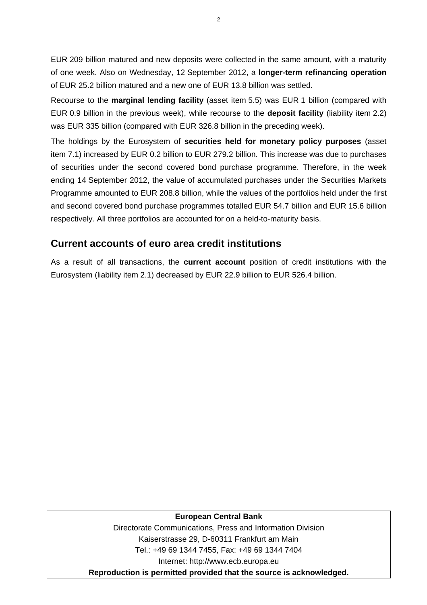EUR 209 billion matured and new deposits were collected in the same amount, with a maturity of one week. Also on Wednesday, 12 September 2012, a **longer-term refinancing operation** of EUR 25.2 billion matured and a new one of EUR 13.8 billion was settled.

Recourse to the **marginal lending facility** (asset item 5.5) was EUR 1 billion (compared with EUR 0.9 billion in the previous week), while recourse to the **deposit facility** (liability item 2.2) was EUR 335 billion (compared with EUR 326.8 billion in the preceding week).

The holdings by the Eurosystem of **securities held for monetary policy purposes** (asset item 7.1) increased by EUR 0.2 billion to EUR 279.2 billion. This increase was due to purchases of securities under the second covered bond purchase programme. Therefore, in the week ending 14 September 2012, the value of accumulated purchases under the Securities Markets Programme amounted to EUR 208.8 billion, while the values of the portfolios held under the first and second covered bond purchase programmes totalled EUR 54.7 billion and EUR 15.6 billion respectively. All three portfolios are accounted for on a held-to-maturity basis.

## **Current accounts of euro area credit institutions**

As a result of all transactions, the **current account** position of credit institutions with the Eurosystem (liability item 2.1) decreased by EUR 22.9 billion to EUR 526.4 billion.

#### **European Central Bank**

Directorate Communications, Press and Information Division Kaiserstrasse 29, D-60311 Frankfurt am Main Tel.: +49 69 1344 7455, Fax: +49 69 1344 7404 Internet: http://www.ecb.europa.eu **Reproduction is permitted provided that the source is acknowledged.**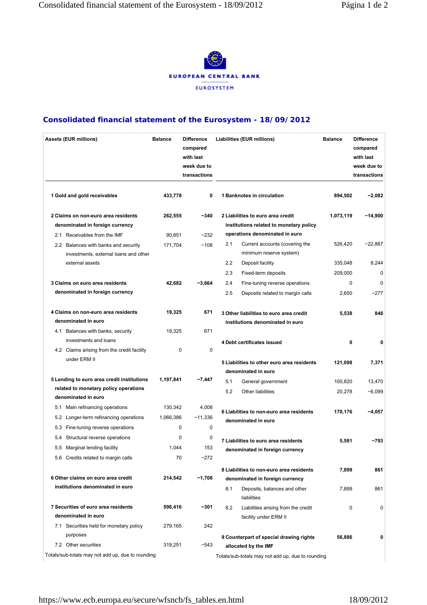

#### **Consolidated financial statement of the Eurosystem - 18/09/2012**

| <b>Assets (EUR millions)</b>                                                  | <b>Balance</b> | <b>Difference</b><br>compared<br>with last<br>week due to<br>transactions | Liabilities (EUR millions)                                      |                                                                             | <b>Balance</b> | <b>Difference</b><br>compared<br>with last<br>week due to<br>transactions |  |
|-------------------------------------------------------------------------------|----------------|---------------------------------------------------------------------------|-----------------------------------------------------------------|-----------------------------------------------------------------------------|----------------|---------------------------------------------------------------------------|--|
| 1 Gold and gold receivables                                                   | 433,778        | $\mathbf 0$                                                               |                                                                 | 1 Banknotes in circulation                                                  | 894,502        | $-2,082$                                                                  |  |
| 2 Claims on non-euro area residents                                           | 262,555        | $-340$                                                                    | 2 Liabilities to euro area credit                               |                                                                             | 1,073,119      | $-14,900$                                                                 |  |
| denominated in foreign currency                                               |                |                                                                           |                                                                 | institutions related to monetary policy                                     |                |                                                                           |  |
| 2.1 Receivables from the IMF                                                  |                | operations denominated in euro<br>90,851<br>$-232$                        |                                                                 |                                                                             |                |                                                                           |  |
| 2.2 Balances with banks and security<br>investments, external loans and other | 171,704        | $-108$                                                                    | 2.1                                                             | Current accounts (covering the<br>minimum reserve system)                   | 526,420        | $-22,867$                                                                 |  |
| external assets                                                               |                |                                                                           | 2.2                                                             | Deposit facility                                                            | 335,048        | 8,244                                                                     |  |
|                                                                               |                |                                                                           | 2.3                                                             | Fixed-term deposits                                                         | 209,000        | 0                                                                         |  |
| 3 Claims on euro area residents                                               | 42,682         | $-3,664$                                                                  | 2.4                                                             | Fine-tuning reverse operations                                              | 0              | $\mathbf 0$                                                               |  |
| denominated in foreign currency                                               |                |                                                                           | 2.5                                                             | Deposits related to margin calls                                            | 2,650          | $-277$                                                                    |  |
| 4 Claims on non-euro area residents<br>denominated in euro                    | 19,325         | 671                                                                       |                                                                 | 3 Other liabilities to euro area credit<br>institutions denominated in euro | 5,538          | 846                                                                       |  |
| 4.1 Balances with banks, security                                             | 19,325         | 671                                                                       |                                                                 |                                                                             |                |                                                                           |  |
| investments and loans                                                         |                |                                                                           |                                                                 | 4 Debt certificates issued                                                  | $\mathbf 0$    | 0                                                                         |  |
| 4.2 Claims arising from the credit facility                                   | 0              | 0                                                                         |                                                                 |                                                                             |                |                                                                           |  |
| under ERM II                                                                  |                |                                                                           |                                                                 | 5 Liabilities to other euro area residents                                  | 121,098        | 7,371                                                                     |  |
|                                                                               |                |                                                                           |                                                                 | denominated in euro                                                         |                |                                                                           |  |
| 5 Lending to euro area credit institutions                                    | 1,197,841      | $-7,447$                                                                  | 5.1                                                             | General government                                                          | 100,820        | 13,470                                                                    |  |
| related to monetary policy operations                                         |                |                                                                           | 5.2                                                             | Other liabilities                                                           | 20,278         | $-6,099$                                                                  |  |
| denominated in euro                                                           |                |                                                                           |                                                                 |                                                                             |                |                                                                           |  |
| Main refinancing operations<br>5.1                                            | 130,342        | 4,008                                                                     | 6 Liabilities to non-euro area residents<br>denominated in euro |                                                                             | 170,176        | $-4,057$                                                                  |  |
| Longer-term refinancing operations<br>5.2                                     | 1,066,386      | $-11,336$                                                                 |                                                                 |                                                                             |                |                                                                           |  |
| 5.3 Fine-tuning reverse operations                                            | 0              | 0                                                                         |                                                                 |                                                                             |                |                                                                           |  |
| 5.4 Structural reverse operations                                             | $\Omega$       | 0                                                                         |                                                                 | 7 Liabilities to euro area residents                                        | 5,581          | -793                                                                      |  |
| 5.5 Marginal lending facility                                                 | 1,044          | 153                                                                       |                                                                 | denominated in foreign currency                                             |                |                                                                           |  |
| 5.6 Credits related to margin calls                                           | 70             | -272                                                                      |                                                                 |                                                                             |                |                                                                           |  |
|                                                                               |                |                                                                           |                                                                 | 8 Liabilities to non-euro area residents                                    | 7,899          | 861                                                                       |  |
| 6 Other claims on euro area credit                                            | 214,542        | $-1,708$                                                                  |                                                                 | denominated in foreign currency                                             |                |                                                                           |  |
| institutions denominated in euro                                              |                |                                                                           | 8.1                                                             | Deposits, balances and other<br>liabilities                                 | 7,899          | 861                                                                       |  |
| 7 Securities of euro area residents                                           | 598,416        | $-301$                                                                    | 8.2                                                             | Liabilities arising from the credit                                         | 0              | 0                                                                         |  |
| denominated in euro                                                           |                |                                                                           |                                                                 | facility under ERM II                                                       |                |                                                                           |  |
| 7.1 Securities held for monetary policy                                       | 279,165        | 242                                                                       |                                                                 |                                                                             |                |                                                                           |  |
| purposes                                                                      |                |                                                                           |                                                                 | 9 Counterpart of special drawing rights                                     | 56,886         | 0                                                                         |  |
| 7.2 Other securities                                                          | 319,251        | $-543$                                                                    |                                                                 | allocated by the IMF                                                        |                |                                                                           |  |
| Totals/sub-totals may not add up, due to rounding                             |                |                                                                           |                                                                 | Totals/sub-totals may not add up, due to rounding                           |                |                                                                           |  |